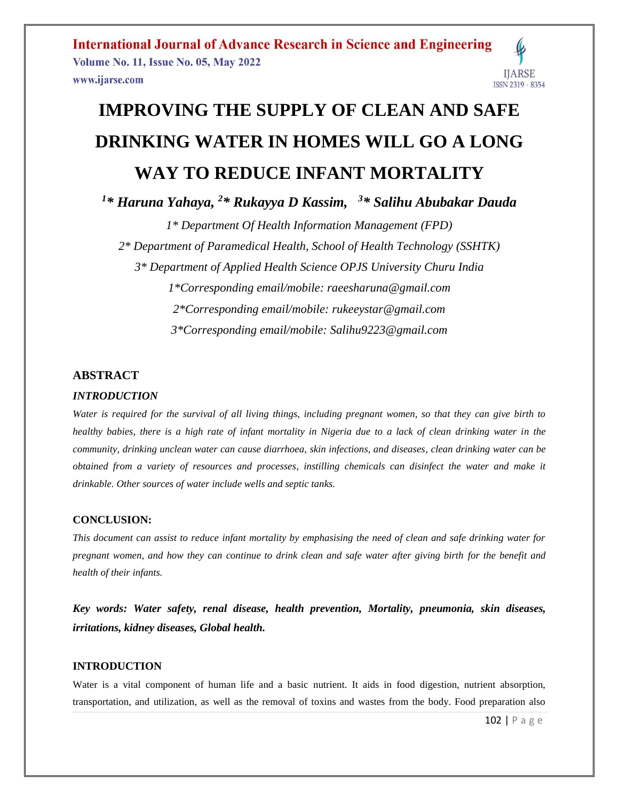**International Journal of Advance Research in Science and Engineering Volume No. 11, Issue No. 05, May 2022 IJARSE** www.ijarse.com ISSN 2319 - 8354

# **IMPROVING THE SUPPLY OF CLEAN AND SAFE DRINKING WATER IN HOMES WILL GO A LONG WAY TO REDUCE INFANT MORTALITY**

*<sup>1</sup>\* Haruna Yahaya, <sup>2</sup>\* Rukayya D Kassim, <sup>3</sup>\* Salihu Abubakar Dauda*

*1\* Department Of Health Information Management (FPD) 2\* Department of Paramedical Health, School of Health Technology (SSHTK) 3\* Department of Applied Health Science OPJS University Churu India 1\*Corresponding email/mobile: raeesharuna@gmail.com 2\*Corresponding email/mobile: rukeeystar@gmail.com 3\*Corresponding email/mobile: Salihu9223@gmail.com*

### **ABSTRACT**

### *INTRODUCTION*

*Water is required for the survival of all living things, including pregnant women, so that they can give birth to healthy babies, there is a high rate of infant mortality in Nigeria due to a lack of clean drinking water in the community, drinking unclean water can cause diarrhoea, skin infections, and diseases, clean drinking water can be obtained from a variety of resources and processes, instilling chemicals can disinfect the water and make it drinkable. Other sources of water include wells and septic tanks.*

### **CONCLUSION:**

*This document can assist to reduce infant mortality by emphasising the need of clean and safe drinking water for pregnant women, and how they can continue to drink clean and safe water after giving birth for the benefit and health of their infants.*

*Key words: Water safety, renal disease, health prevention, Mortality, pneumonia, skin diseases, irritations, kidney diseases, Global health.* 

### **INTRODUCTION**

Water is a vital component of human life and a basic nutrient. It aids in food digestion, nutrient absorption, transportation, and utilization, as well as the removal of toxins and wastes from the body. Food preparation also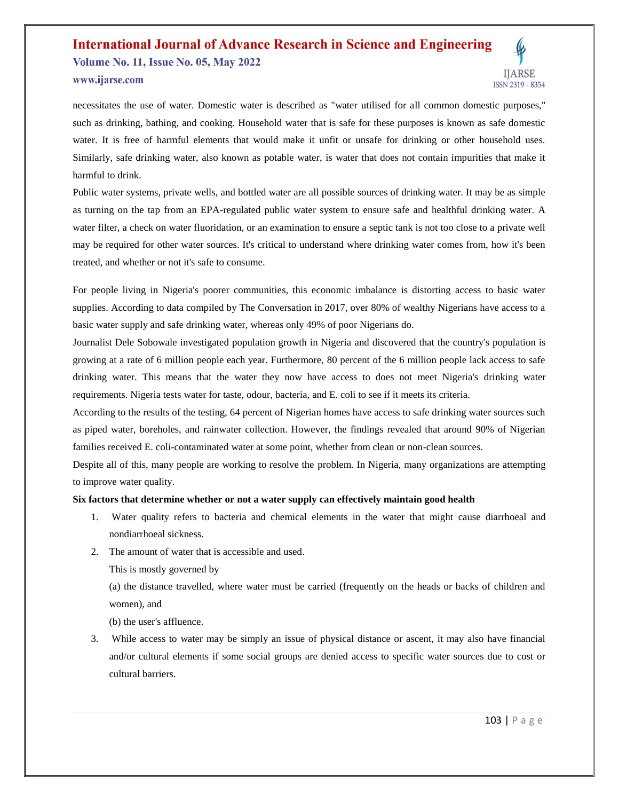### **International Journal of Advance Research in Science and Engineering Volume No. 11, Issue No. 05, May 2022**



www.ijarse.com

necessitates the use of water. Domestic water is described as "water utilised for all common domestic purposes," such as drinking, bathing, and cooking. Household water that is safe for these purposes is known as safe domestic water. It is free of harmful elements that would make it unfit or unsafe for drinking or other household uses. Similarly, safe drinking water, also known as potable water, is water that does not contain impurities that make it harmful to drink.

Public water systems, private wells, and bottled water are all possible sources of drinking water. It may be as simple as turning on the tap from an EPA-regulated public water system to ensure safe and healthful drinking water. A water filter, a check on water fluoridation, or an examination to ensure a septic tank is not too close to a private well may be required for other water sources. It's critical to understand where drinking water comes from, how it's been treated, and whether or not it's safe to consume.

For people living in Nigeria's poorer communities, this economic imbalance is distorting access to basic water supplies. According to data compiled by The Conversation in 2017, over 80% of wealthy Nigerians have access to a basic water supply and safe drinking water, whereas only 49% of poor Nigerians do.

Journalist Dele Sobowale investigated population growth in Nigeria and discovered that the country's population is growing at a rate of 6 million people each year. Furthermore, 80 percent of the 6 million people lack access to safe drinking water. This means that the water they now have access to does not meet Nigeria's drinking water requirements. Nigeria tests water for taste, odour, bacteria, and E. coli to see if it meets its criteria.

According to the results of the testing, 64 percent of Nigerian homes have access to safe drinking water sources such as piped water, boreholes, and rainwater collection. However, the findings revealed that around 90% of Nigerian families received E. coli-contaminated water at some point, whether from clean or non-clean sources.

Despite all of this, many people are working to resolve the problem. In Nigeria, many organizations are attempting to improve water quality.

### **Six factors that determine whether or not a water supply can effectively maintain good health**

- 1. Water quality refers to bacteria and chemical elements in the water that might cause diarrhoeal and nondiarrhoeal sickness.
- 2. The amount of water that is accessible and used.

This is mostly governed by

(a) the distance travelled, where water must be carried (frequently on the heads or backs of children and women), and

(b) the user's affluence.

3. While access to water may be simply an issue of physical distance or ascent, it may also have financial and/or cultural elements if some social groups are denied access to specific water sources due to cost or cultural barriers.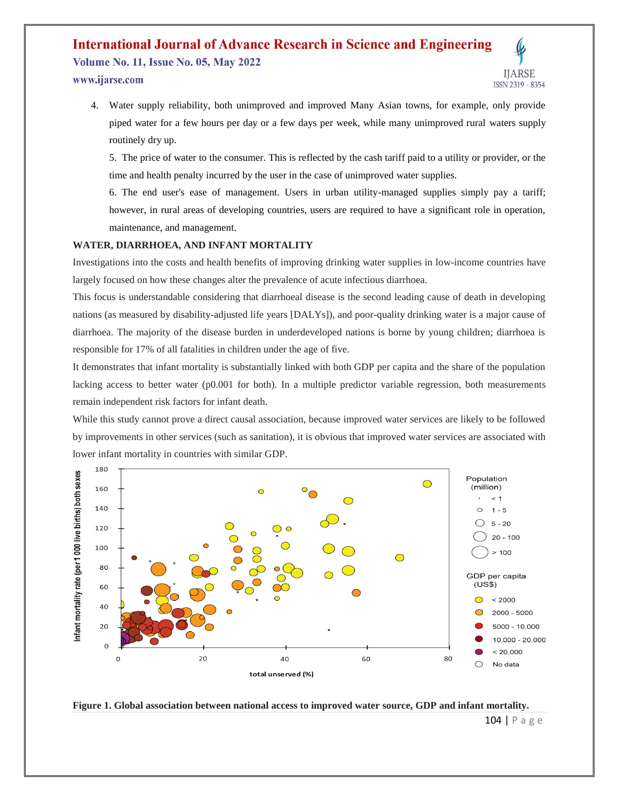**Volume No. 11, Issue No. 05, May 2022** www.ijarse.com



4. Water supply reliability, both unimproved and improved Many Asian towns, for example, only provide piped water for a few hours per day or a few days per week, while many unimproved rural waters supply routinely dry up.

5. The price of water to the consumer. This is reflected by the cash tariff paid to a utility or provider, or the time and health penalty incurred by the user in the case of unimproved water supplies.

6. The end user's ease of management. Users in urban utility-managed supplies simply pay a tariff; however, in rural areas of developing countries, users are required to have a significant role in operation, maintenance, and management.

### **WATER, DIARRHOEA, AND INFANT MORTALITY**

Investigations into the costs and health benefits of improving drinking water supplies in low-income countries have largely focused on how these changes alter the prevalence of acute infectious diarrhoea.

This focus is understandable considering that diarrhoeal disease is the second leading cause of death in developing nations (as measured by disability-adjusted life years [DALYs]), and poor-quality drinking water is a major cause of diarrhoea. The majority of the disease burden in underdeveloped nations is borne by young children; diarrhoea is responsible for 17% of all fatalities in children under the age of five.

It demonstrates that infant mortality is substantially linked with both GDP per capita and the share of the population lacking access to better water (p0.001 for both). In a multiple predictor variable regression, both measurements remain independent risk factors for infant death.

While this study cannot prove a direct causal association, because improved water services are likely to be followed by improvements in other services (such as sanitation), it is obvious that improved water services are associated with lower infant mortality in countries with similar GDP.



**Figure 1. Global association between national access to improved water source, GDP and infant mortality.**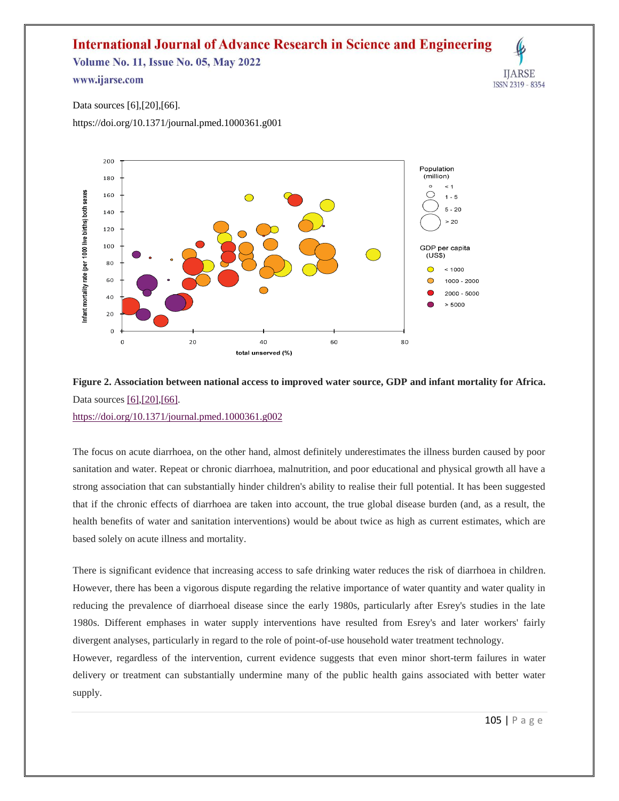**Volume No. 11, Issue No. 05, May 2022** 

### www.ijarse.com



Data sources [\[6\],](https://journals.plos.org/plosmedicine/article?id=10.1371/journal.pmed.1000361#pmed.1000361-JMP1)[\[20\]](https://journals.plos.org/plosmedicine/article?id=10.1371/journal.pmed.1000361#pmed.1000361-World1)[,\[66\].](https://journals.plos.org/plosmedicine/article?id=10.1371/journal.pmed.1000361#pmed.1000361-World3)

<https://doi.org/10.1371/journal.pmed.1000361.g001>



### **Figure 2. Association between national access to improved water source, GDP and infant mortality for Africa.** Data sources [\[6\],](https://journals.plos.org/plosmedicine/article?id=10.1371/journal.pmed.1000361#pmed.1000361-JMP1) [\[20\]](https://journals.plos.org/plosmedicine/article?id=10.1371/journal.pmed.1000361#pmed.1000361-World1), [66]. <https://doi.org/10.1371/journal.pmed.1000361.g002>

The focus on acute diarrhoea, on the other hand, almost definitely underestimates the illness burden caused by poor sanitation and water. Repeat or chronic diarrhoea, malnutrition, and poor educational and physical growth all have a strong association that can substantially hinder children's ability to realise their full potential. It has been suggested that if the chronic effects of diarrhoea are taken into account, the true global disease burden (and, as a result, the health benefits of water and sanitation interventions) would be about twice as high as current estimates, which are based solely on acute illness and mortality.

There is significant evidence that increasing access to safe drinking water reduces the risk of diarrhoea in children. However, there has been a vigorous dispute regarding the relative importance of water quantity and water quality in reducing the prevalence of diarrhoeal disease since the early 1980s, particularly after Esrey's studies in the late 1980s. Different emphases in water supply interventions have resulted from Esrey's and later workers' fairly divergent analyses, particularly in regard to the role of point-of-use household water treatment technology.

However, regardless of the intervention, current evidence suggests that even minor short-term failures in water delivery or treatment can substantially undermine many of the public health gains associated with better water supply.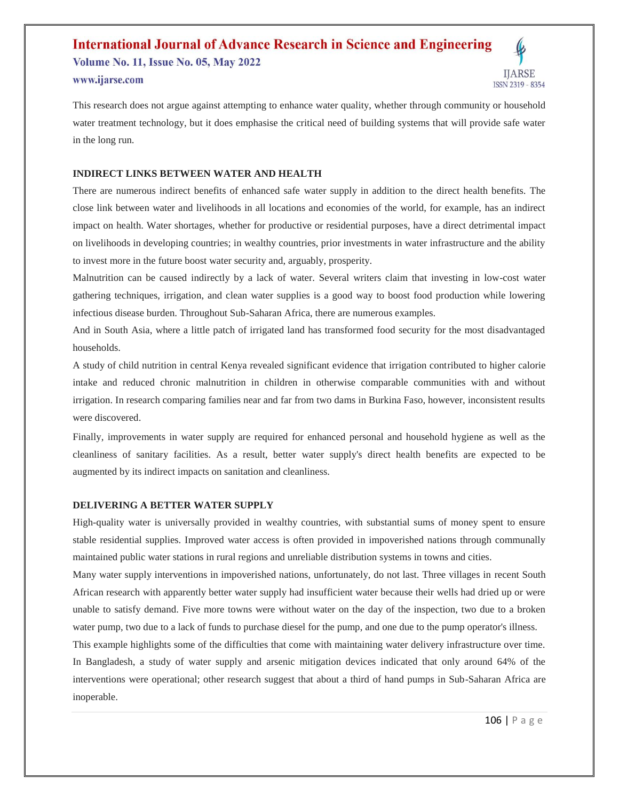**Volume No. 11, Issue No. 05, May 2022** www.ijarse.com



This research does not argue against attempting to enhance water quality, whether through community or household water treatment technology, but it does emphasise the critical need of building systems that will provide safe water in the long run.

### **INDIRECT LINKS BETWEEN WATER AND HEALTH**

There are numerous indirect benefits of enhanced safe water supply in addition to the direct health benefits. The close link between water and livelihoods in all locations and economies of the world, for example, has an indirect impact on health. Water shortages, whether for productive or residential purposes, have a direct detrimental impact on livelihoods in developing countries; in wealthy countries, prior investments in water infrastructure and the ability to invest more in the future boost water security and, arguably, prosperity.

Malnutrition can be caused indirectly by a lack of water. Several writers claim that investing in low-cost water gathering techniques, irrigation, and clean water supplies is a good way to boost food production while lowering infectious disease burden. Throughout Sub-Saharan Africa, there are numerous examples.

And in South Asia, where a little patch of irrigated land has transformed food security for the most disadvantaged households.

A study of child nutrition in central Kenya revealed significant evidence that irrigation contributed to higher calorie intake and reduced chronic malnutrition in children in otherwise comparable communities with and without irrigation. In research comparing families near and far from two dams in Burkina Faso, however, inconsistent results were discovered.

Finally, improvements in water supply are required for enhanced personal and household hygiene as well as the cleanliness of sanitary facilities. As a result, better water supply's direct health benefits are expected to be augmented by its indirect impacts on sanitation and cleanliness.

### **DELIVERING A BETTER WATER SUPPLY**

High-quality water is universally provided in wealthy countries, with substantial sums of money spent to ensure stable residential supplies. Improved water access is often provided in impoverished nations through communally maintained public water stations in rural regions and unreliable distribution systems in towns and cities.

Many water supply interventions in impoverished nations, unfortunately, do not last. Three villages in recent South African research with apparently better water supply had insufficient water because their wells had dried up or were unable to satisfy demand. Five more towns were without water on the day of the inspection, two due to a broken water pump, two due to a lack of funds to purchase diesel for the pump, and one due to the pump operator's illness.

This example highlights some of the difficulties that come with maintaining water delivery infrastructure over time. In Bangladesh, a study of water supply and arsenic mitigation devices indicated that only around 64% of the interventions were operational; other research suggest that about a third of hand pumps in Sub-Saharan Africa are inoperable.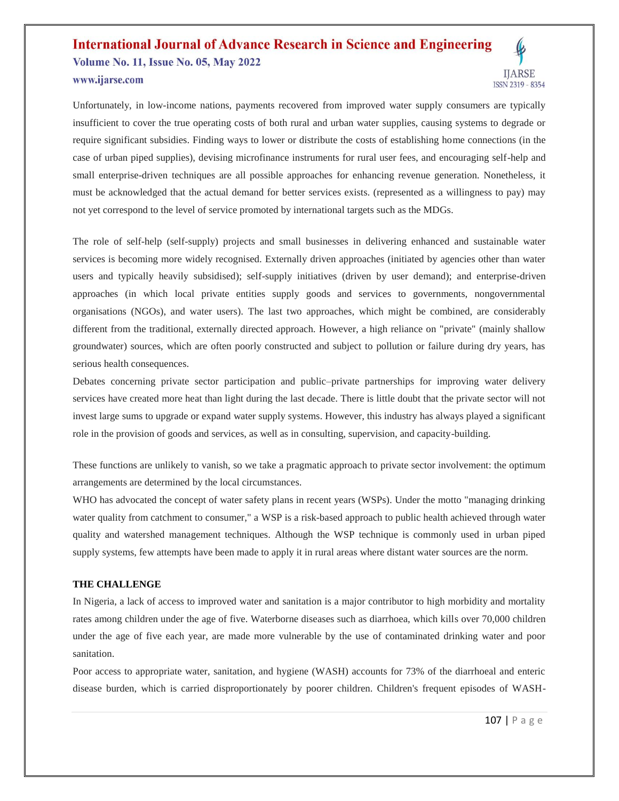## **International Journal of Advance Research in Science and Engineering Volume No. 11, Issue No. 05, May 2022** www.ijarse.com



Unfortunately, in low-income nations, payments recovered from improved water supply consumers are typically insufficient to cover the true operating costs of both rural and urban water supplies, causing systems to degrade or require significant subsidies. Finding ways to lower or distribute the costs of establishing home connections (in the case of urban piped supplies), devising microfinance instruments for rural user fees, and encouraging self-help and small enterprise-driven techniques are all possible approaches for enhancing revenue generation. Nonetheless, it must be acknowledged that the actual demand for better services exists. (represented as a willingness to pay) may not yet correspond to the level of service promoted by international targets such as the MDGs.

The role of self-help (self-supply) projects and small businesses in delivering enhanced and sustainable water services is becoming more widely recognised. Externally driven approaches (initiated by agencies other than water users and typically heavily subsidised); self-supply initiatives (driven by user demand); and enterprise-driven approaches (in which local private entities supply goods and services to governments, nongovernmental organisations (NGOs), and water users). The last two approaches, which might be combined, are considerably different from the traditional, externally directed approach. However, a high reliance on "private" (mainly shallow groundwater) sources, which are often poorly constructed and subject to pollution or failure during dry years, has serious health consequences.

Debates concerning private sector participation and public–private partnerships for improving water delivery services have created more heat than light during the last decade. There is little doubt that the private sector will not invest large sums to upgrade or expand water supply systems. However, this industry has always played a significant role in the provision of goods and services, as well as in consulting, supervision, and capacity-building.

These functions are unlikely to vanish, so we take a pragmatic approach to private sector involvement: the optimum arrangements are determined by the local circumstances.

WHO has advocated the concept of water safety plans in recent years (WSPs). Under the motto "managing drinking water quality from catchment to consumer," a WSP is a risk-based approach to public health achieved through water quality and watershed management techniques. Although the WSP technique is commonly used in urban piped supply systems, few attempts have been made to apply it in rural areas where distant water sources are the norm.

### **THE CHALLENGE**

In Nigeria, a lack of access to improved water and sanitation is a major contributor to high morbidity and mortality rates among children under the age of five. Waterborne diseases such as diarrhoea, which kills over 70,000 children under the age of five each year, are made more vulnerable by the use of contaminated drinking water and poor sanitation.

Poor access to appropriate water, sanitation, and hygiene (WASH) accounts for 73% of the diarrhoeal and enteric disease burden, which is carried disproportionately by poorer children. Children's frequent episodes of WASH-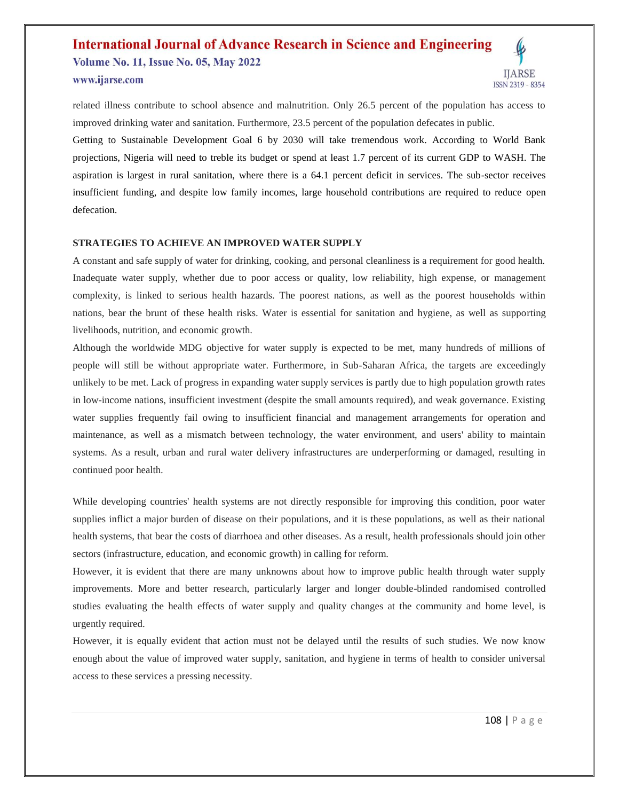## **International Journal of Advance Research in Science and Engineering Volume No. 11, Issue No. 05, May 2022** www.ijarse.com



related illness contribute to school absence and malnutrition. Only 26.5 percent of the population has access to improved drinking water and sanitation. Furthermore, 23.5 percent of the population defecates in public.

Getting to Sustainable Development Goal 6 by 2030 will take tremendous work. According to World Bank projections, Nigeria will need to treble its budget or spend at least 1.7 percent of its current GDP to WASH. The aspiration is largest in rural sanitation, where there is a 64.1 percent deficit in services. The sub-sector receives insufficient funding, and despite low family incomes, large household contributions are required to reduce open defecation.

### **STRATEGIES TO ACHIEVE AN IMPROVED WATER SUPPLY**

A constant and safe supply of water for drinking, cooking, and personal cleanliness is a requirement for good health. Inadequate water supply, whether due to poor access or quality, low reliability, high expense, or management complexity, is linked to serious health hazards. The poorest nations, as well as the poorest households within nations, bear the brunt of these health risks. Water is essential for sanitation and hygiene, as well as supporting livelihoods, nutrition, and economic growth.

Although the worldwide MDG objective for water supply is expected to be met, many hundreds of millions of people will still be without appropriate water. Furthermore, in Sub-Saharan Africa, the targets are exceedingly unlikely to be met. Lack of progress in expanding water supply services is partly due to high population growth rates in low-income nations, insufficient investment (despite the small amounts required), and weak governance. Existing water supplies frequently fail owing to insufficient financial and management arrangements for operation and maintenance, as well as a mismatch between technology, the water environment, and users' ability to maintain systems. As a result, urban and rural water delivery infrastructures are underperforming or damaged, resulting in continued poor health.

While developing countries' health systems are not directly responsible for improving this condition, poor water supplies inflict a major burden of disease on their populations, and it is these populations, as well as their national health systems, that bear the costs of diarrhoea and other diseases. As a result, health professionals should join other sectors (infrastructure, education, and economic growth) in calling for reform.

However, it is evident that there are many unknowns about how to improve public health through water supply improvements. More and better research, particularly larger and longer double-blinded randomised controlled studies evaluating the health effects of water supply and quality changes at the community and home level, is urgently required.

However, it is equally evident that action must not be delayed until the results of such studies. We now know enough about the value of improved water supply, sanitation, and hygiene in terms of health to consider universal access to these services a pressing necessity.